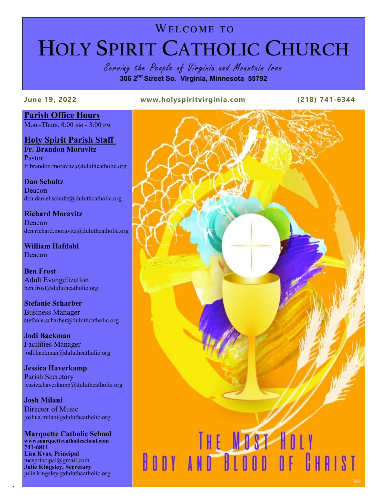# WELCOME TO **HOLY SPIRIT CATHOLIC CHURCH**

Serving the People of Virginia and Mountain Iron **306 2nd Street So. Virginia, Minnesota 55792**

**June 19, 2022 www.holyspiritvirginia.com (218) 741-6344**

# **Parish Office Hours**

Mon.-Thurs. 8:00 am - 3:00 pm

**Holy Spirit Parish Staff Fr. Brandon Moravitz**

Pastor fr.brandon.moravitz@duluthcatholic.org

**Dan Schultz Deacon** dcn.daniel.schultz@duluthcatholic.org

**Richard Moravitz** Deacon dcn.richard.moravitz@duluthcatholic.org

**William Hafdahl** Deacon

**Ben Frost** Adult Evangelization ben.frost@duluthcatholic.org

**Stefanie Scharber** Business Manager stefanie.scharber@duluthcatholic.org

**Jodi Backman** Facilities Manager jodi.backman@duluthcatholic.org

**Jessica Haverkamp** Parish Secretary jessica.haverkamp@duluthcatholic.org

**Josh Milani** Director of Music joshua.milani@duluthcatholic.org

**Marquette Catholic School www.marquettecatholicschool.com 741-6811 Lisa Kvas, Principal** mcsprincipal@gmail.com **Julie Kingsley, Secretary**  julie.kingsley@duluthcatholic.org

.

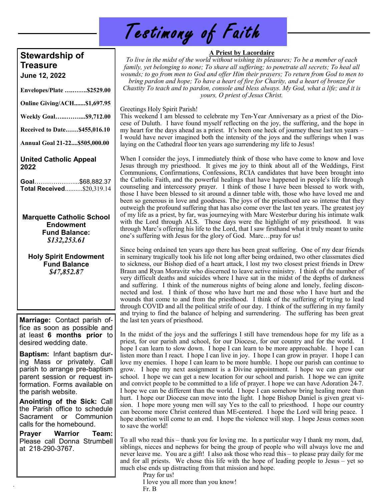| Testimony of Faith |  |  |  |
|--------------------|--|--|--|
|--------------------|--|--|--|

# **Stewardship of Treasure**

**June 12, 2022**

**Envelopes/Plate ….…….\$2529.00**

**Online Giving/ACH.......\$1,697.95**

**Weekly Goal…...……....\$9,712.00**

**Received to Date……\$455,016.10**

**Annual Goal 21-22....\$505,000.00**

### **United Catholic Appeal 2022**

**Goal**………………....\$68,882.37 **Total Received**..........\$20,319.14

**Marquette Catholic School Endowment Fund Balance:** *\$132,253.61*

**Holy Spirit Endowment Fund Balance** *\$47,852.87*

**Marriage:** Contact parish office as soon as possible and at least **6 months prior** to desired wedding date.

**Baptism:** Infant baptism during Mass or privately. Call parish to arrange pre-baptism parent session or request information. Forms available on the parish website.

**Anointing of the Sick:** Call the Parish office to schedule Sacrament or Communion calls for the homebound.

**Prayer Warrior Team:**  Please call Donna Strumbell at 218-290-3767.

.

# **A Priest by Lacordaire**

*To live in the midst of the world without wishing its pleasures; To be a member of each family, yet belonging to none; To share all suffering; to penetrate all secrets; To heal all wounds; to go from men to God and offer Him their prayers; To return from God to men to bring pardon and hope; To have a heart of fire for Charity, and a heart of bronze for Chastity To teach and to pardon, console and bless always. My God, what a life; and it is yours, O priest of Jesus Christ.*

Greetings Holy Spirit Parish!

This weekend I am blessed to celebrate my Ten-Year Anniversary as a priest of the Diocese of Duluth. I have found myself reflecting on the joy, the suffering, and the hope in my heart for the days ahead as a priest. It's been one heck of journey these last ten years – I would have never imagined both the intensity of the joys and the sufferings when I was laying on the Cathedral floor ten years ago surrendering my life to Jesus!

When I consider the joys, I immediately think of those who have come to know and love Jesus through my priesthood. It gives me joy to think about all of the Weddings, First Communions, Confirmations, Confessions, RCIA candidates that have been brought into the Catholic Faith, and the powerful healings that have happened in people's life through counseling and intercessory prayer. I think of those I have been blessed to work with, those I have been blessed to sit around a dinner table with, those who have loved me and been so generous in love and goodness. The joys of the priesthood are so intense that they outweigh the profound suffering that has also come over the last ten years. The greatest joy of my life as a priest, by far, was journeying with Marc Westerbur during his intimate walk with the Lord through ALS. Those days were the highlight of my priesthood. It was through Marc's offering his life to the Lord, that I saw firsthand what it truly meant to unite one's suffering with Jesus for the glory of God. Marc…pray for us!

Since being ordained ten years ago there has been great suffering. One of my dear friends in seminary tragically took his life not long after being ordained, two other classmates died to sickness, our Bishop died of a heart attack, I lost my two closest priest friends in Drew Braun and Ryan Moravitz who discerned to leave active ministry. I think of the number of very difficult deaths and suicides where I have sat in the midst of the depths of darkness and suffering. I think of the numerous nights of being alone and lonely, feeling disconnected and lost. I think of those who have hurt me and those who I have hurt and the wounds that come to and from the priesthood. I think of the suffering of trying to lead through COVID and all the political strife of our day. I think of the suffering in my family and trying to find the balance of helping and surrendering. The suffering has been great the last ten years of priesthood.

In the midst of the joys and the sufferings I still have tremendous hope for my life as a priest, for our parish and school, for our Diocese, for our country and for the world. I hope I can learn to slow down. I hope I can learn to be more approachable. I hope I can listen more than I react. I hope I can live in joy. I hope I can grow in prayer. I hope I can love my enemies. I hope I can learn to be more humble. I hope our parish can continue to grow. I hope my next assignment is a Divine appointment. I hope we can grow our school. I hope we can get a new location for our school and parish. I hope we can ignite and convict people to be committed to a life of prayer. I hope we can have Adoration 24-7. I hope we can be different than the world. I hope I can somehow bring healing more than hurt. I hope our Diocese can move into the light. I hope Bishop Daniel is given great vision. I hope more young men will say Yes to the call to priesthood. I hope our country can become more Christ centered than ME-centered. I hope the Lord will bring peace. I hope abortion will come to an end. I hope the violence will stop. I hope Jesus comes soon to save the world!

To all who read this – thank you for loving me. In a particular way I thank my mom, dad, siblings, nieces and nephews for being the group of people who will always love me and never leave me. You are a gift! I also ask those who read this – to please pray daily for me and for all priests. We chose this life with the hope of leading people to Jesus – yet so much else ends up distracting from that mission and hope.

Pray for us!

I love you all more than you know!

Fr. B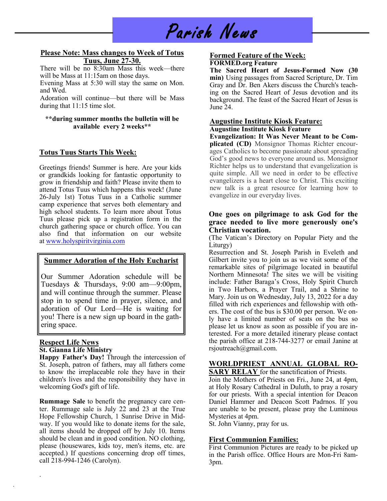# Parish News

#### **Please Note: Mass changes to Week of Totus Tuus, June 27-30.**

There will be no 8:30am Mass this week—there will be Mass at 11:15am on those days.

Evening Mass at 5:30 will stay the same on Mon. and Wed.

Adoration will continue—but there will be Mass during that 11:15 time slot.

#### **\*\*during summer months the bulletin will be available every 2 weeks\*\***

# **Totus Tuus Starts This Week:**

Greetings friends! Summer is here. Are your kids or grandkids looking for fantastic opportunity to grow in friendship and faith? Please invite them to attend Totus Tuus which happens this week! (June 26-July 1st) Totus Tuus in a Catholic summer camp experience that serves both elementary and high school students. To learn more about Totus Tuus please pick up a registration form in the church gathering space or church office. You can also find that information on our website at [www.holyspiritvirginia.com](http://www.holyspiritvirginia.com/)

# **Summer Adoration of the Holy Eucharist**

Our Summer Adoration schedule will be Tuesdays & Thursdays, 9:00 am—9:00pm, and will continue through the summer. Please stop in to spend time in prayer, silence, and adoration of Our Lord—He is waiting for you! There is a new sign up board in the gathering space.

#### **Respect Life News St. Gianna Life Ministry**

.

.

**Happy Father's Day!** Through the intercession of St. Joseph, patron of fathers, may all fathers come to know the irreplaceable role they have in their children's lives and the responsibility they have in welcoming God's gift of life.

**Rummage Sale** to benefit the pregnancy care center. Rummage sale is July 22 and 23 at the True Hope Fellowship Church, 1 Sunrise Drive in Midway. If you would like to donate items for the sale, all items should be dropped off by July 10. Items should be clean and in good condition. NO clothing, please (housewares, kids toy, men's items, etc. are accepted.) If questions concerning drop off times, call 218-994-1246 (Carolyn).

#### **Formed Feature of the Week: FORMED.org Feature**

**The Sacred Heart of Jesus-Formed Now (30 min)** Using passages from Sacred Scripture, Dr. Tim Gray and Dr. Ben Akers discuss the Church's teaching on the Sacred Heart of Jesus devotion and its background. The feast of the Sacred Heart of Jesus is June 24.

### **Augustine Institute Kiosk Feature:**

#### **Augustine Institute Kiosk Feature**

**Evangelization: It Was Never Meant to be Complicated (CD)** Monsignor Thomas Richter encourages Catholics to become passionate about spreading God's good news to everyone around us. Monsignor Richter helps us to understand that evangelization is quite simple. All we need in order to be effective evangelizers is a heart close to Christ. This exciting new talk is a great resource for learning how to evangelize in our everyday lives.

#### **One goes on pilgrimage to ask God for the grace needed to live more generously one's Christian vocation.**

(The Vatican's Directory on Popular Piety and the Liturgy)

Resurrection and St. Joseph Parish in Eveleth and Gilbert invite you to join us as we visit some of the remarkable sites of pilgrimage located in beautiful Northern Minnesota! The sites we will be visiting include: Father Baraga's Cross, Holy Spirit Church in Two Harbors, a Prayer Trail, and a Shrine to Mary. Join us on Wednesday, July 13, 2022 for a day filled with rich experiences and fellowship with others. The cost of the bus is \$30.00 per person. We only have a limited number of seats on the bus so please let us know as soon as possible if you are interested. For a more detailed itinerary please contact the parish office at 218-744-3277 or email Janine at rsjoutreach@gmail.com.

# **WORLDPRIEST ANNUAL GLOBAL RO-**

**SARY RELAY** for the sanctification of Priests.

Join the Mothers of Priests on Fri., June 24, at 4pm, at Holy Rosary Cathedral in Duluth, to pray a rosary for our priests. With a special intention for Deacon Daniel Hammer and Deacon Scott Padrnos. If you are unable to be present, please pray the Luminous Mysteries at 4pm.

St. John Vianny, pray for us.

#### **First Communion Families:**

First Communion Pictures are ready to be picked up in the Parish office. Office Hours are Mon-Fri 8am-3pm.